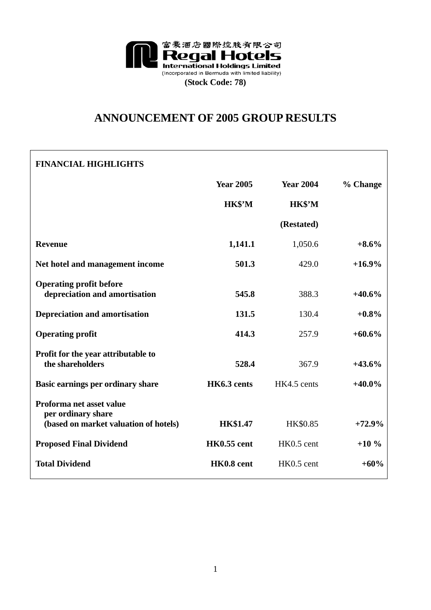

# **ANNOUNCEMENT OF 2005 GROUP RESULTS**

## **FINANCIAL HIGHLIGHTS**

|                                                                                         | <b>Year 2005</b>   | <b>Year 2004</b> | % Change  |
|-----------------------------------------------------------------------------------------|--------------------|------------------|-----------|
|                                                                                         | HK\$'M             | HK\$'M           |           |
|                                                                                         |                    | (Restated)       |           |
| <b>Revenue</b>                                                                          | 1,141.1            | 1,050.6          | $+8.6%$   |
| Net hotel and management income                                                         | 501.3              | 429.0            | $+16.9%$  |
| <b>Operating profit before</b><br>depreciation and amortisation                         | 545.8              | 388.3            | $+40.6%$  |
| <b>Depreciation and amortisation</b>                                                    | 131.5              | 130.4            | $+0.8\%$  |
| <b>Operating profit</b>                                                                 | 414.3              | 257.9            | $+60.6\%$ |
| Profit for the year attributable to<br>the shareholders                                 | 528.4              | 367.9            | $+43.6%$  |
| Basic earnings per ordinary share                                                       | HK6.3 cents        | HK4.5 cents      | $+40.0\%$ |
| Proforma net asset value<br>per ordinary share<br>(based on market valuation of hotels) | <b>HK\$1.47</b>    | HK\$0.85         | $+72.9%$  |
| <b>Proposed Final Dividend</b>                                                          | <b>HK0.55 cent</b> | HK0.5 cent       | $+10%$    |
| <b>Total Dividend</b>                                                                   | HK0.8 cent         | HK0.5 cent       | $+60%$    |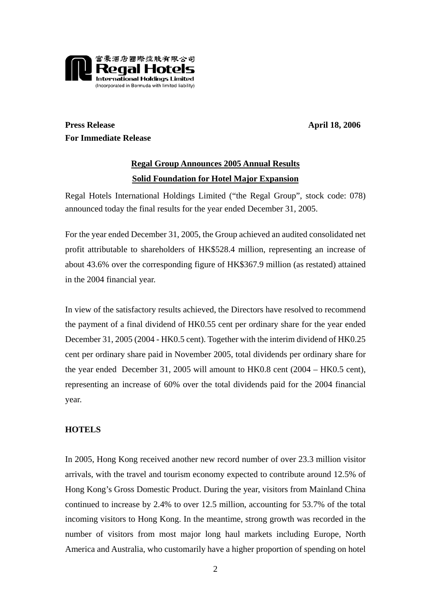

**Press Release April 18, 2006 For Immediate Release** 

## **Regal Group Announces 2005 Annual Results Solid Foundation for Hotel Major Expansion**

Regal Hotels International Holdings Limited ("the Regal Group", stock code: 078) announced today the final results for the year ended December 31, 2005.

For the year ended December 31, 2005, the Group achieved an audited consolidated net profit attributable to shareholders of HK\$528.4 million, representing an increase of about 43.6% over the corresponding figure of HK\$367.9 million (as restated) attained in the 2004 financial year.

In view of the satisfactory results achieved, the Directors have resolved to recommend the payment of a final dividend of HK0.55 cent per ordinary share for the year ended December 31, 2005 (2004 - HK0.5 cent). Together with the interim dividend of HK0.25 cent per ordinary share paid in November 2005, total dividends per ordinary share for the year ended December 31, 2005 will amount to HK0.8 cent (2004 – HK0.5 cent), representing an increase of 60% over the total dividends paid for the 2004 financial year.

## **HOTELS**

In 2005, Hong Kong received another new record number of over 23.3 million visitor arrivals, with the travel and tourism economy expected to contribute around 12.5% of Hong Kong's Gross Domestic Product. During the year, visitors from Mainland China continued to increase by 2.4% to over 12.5 million, accounting for 53.7% of the total incoming visitors to Hong Kong. In the meantime, strong growth was recorded in the number of visitors from most major long haul markets including Europe, North America and Australia, who customarily have a higher proportion of spending on hotel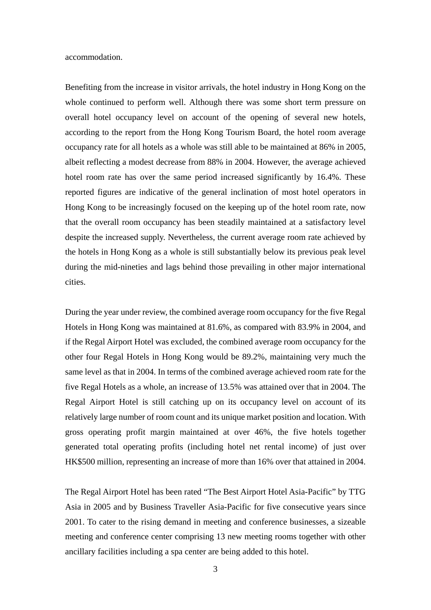accommodation.

Benefiting from the increase in visitor arrivals, the hotel industry in Hong Kong on the whole continued to perform well. Although there was some short term pressure on overall hotel occupancy level on account of the opening of several new hotels, according to the report from the Hong Kong Tourism Board, the hotel room average occupancy rate for all hotels as a whole was still able to be maintained at 86% in 2005, albeit reflecting a modest decrease from 88% in 2004. However, the average achieved hotel room rate has over the same period increased significantly by 16.4%. These reported figures are indicative of the general inclination of most hotel operators in Hong Kong to be increasingly focused on the keeping up of the hotel room rate, now that the overall room occupancy has been steadily maintained at a satisfactory level despite the increased supply. Nevertheless, the current average room rate achieved by the hotels in Hong Kong as a whole is still substantially below its previous peak level during the mid-nineties and lags behind those prevailing in other major international cities.

During the year under review, the combined average room occupancy for the five Regal Hotels in Hong Kong was maintained at 81.6%, as compared with 83.9% in 2004, and if the Regal Airport Hotel was excluded, the combined average room occupancy for the other four Regal Hotels in Hong Kong would be 89.2%, maintaining very much the same level as that in 2004. In terms of the combined average achieved room rate for the five Regal Hotels as a whole, an increase of 13.5% was attained over that in 2004. The Regal Airport Hotel is still catching up on its occupancy level on account of its relatively large number of room count and its unique market position and location. With gross operating profit margin maintained at over 46%, the five hotels together generated total operating profits (including hotel net rental income) of just over HK\$500 million, representing an increase of more than 16% over that attained in 2004.

The Regal Airport Hotel has been rated "The Best Airport Hotel Asia-Pacific" by TTG Asia in 2005 and by Business Traveller Asia-Pacific for five consecutive years since 2001. To cater to the rising demand in meeting and conference businesses, a sizeable meeting and conference center comprising 13 new meeting rooms together with other ancillary facilities including a spa center are being added to this hotel.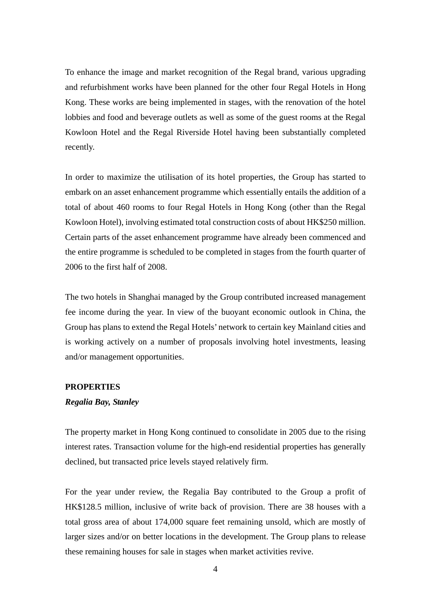To enhance the image and market recognition of the Regal brand, various upgrading and refurbishment works have been planned for the other four Regal Hotels in Hong Kong. These works are being implemented in stages, with the renovation of the hotel lobbies and food and beverage outlets as well as some of the guest rooms at the Regal Kowloon Hotel and the Regal Riverside Hotel having been substantially completed recently.

In order to maximize the utilisation of its hotel properties, the Group has started to embark on an asset enhancement programme which essentially entails the addition of a total of about 460 rooms to four Regal Hotels in Hong Kong (other than the Regal Kowloon Hotel), involving estimated total construction costs of about HK\$250 million. Certain parts of the asset enhancement programme have already been commenced and the entire programme is scheduled to be completed in stages from the fourth quarter of 2006 to the first half of 2008.

The two hotels in Shanghai managed by the Group contributed increased management fee income during the year. In view of the buoyant economic outlook in China, the Group has plans to extend the Regal Hotels' network to certain key Mainland cities and is working actively on a number of proposals involving hotel investments, leasing and/or management opportunities.

### **PROPERTIES**

#### *Regalia Bay, Stanley*

The property market in Hong Kong continued to consolidate in 2005 due to the rising interest rates. Transaction volume for the high-end residential properties has generally declined, but transacted price levels stayed relatively firm.

For the year under review, the Regalia Bay contributed to the Group a profit of HK\$128.5 million, inclusive of write back of provision. There are 38 houses with a total gross area of about 174,000 square feet remaining unsold, which are mostly of larger sizes and/or on better locations in the development. The Group plans to release these remaining houses for sale in stages when market activities revive.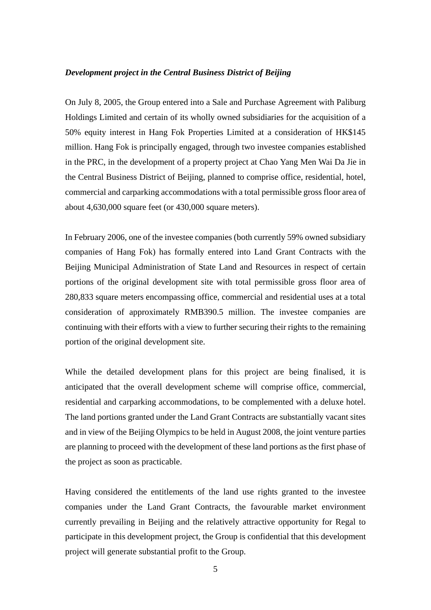#### *Development project in the Central Business District of Beijing*

On July 8, 2005, the Group entered into a Sale and Purchase Agreement with Paliburg Holdings Limited and certain of its wholly owned subsidiaries for the acquisition of a 50% equity interest in Hang Fok Properties Limited at a consideration of HK\$145 million. Hang Fok is principally engaged, through two investee companies established in the PRC, in the development of a property project at Chao Yang Men Wai Da Jie in the Central Business District of Beijing, planned to comprise office, residential, hotel, commercial and carparking accommodations with a total permissible gross floor area of about 4,630,000 square feet (or 430,000 square meters).

In February 2006, one of the investee companies (both currently 59% owned subsidiary companies of Hang Fok) has formally entered into Land Grant Contracts with the Beijing Municipal Administration of State Land and Resources in respect of certain portions of the original development site with total permissible gross floor area of 280,833 square meters encompassing office, commercial and residential uses at a total consideration of approximately RMB390.5 million. The investee companies are continuing with their efforts with a view to further securing their rights to the remaining portion of the original development site.

While the detailed development plans for this project are being finalised, it is anticipated that the overall development scheme will comprise office, commercial, residential and carparking accommodations, to be complemented with a deluxe hotel. The land portions granted under the Land Grant Contracts are substantially vacant sites and in view of the Beijing Olympics to be held in August 2008, the joint venture parties are planning to proceed with the development of these land portions as the first phase of the project as soon as practicable.

Having considered the entitlements of the land use rights granted to the investee companies under the Land Grant Contracts, the favourable market environment currently prevailing in Beijing and the relatively attractive opportunity for Regal to participate in this development project, the Group is confidential that this development project will generate substantial profit to the Group.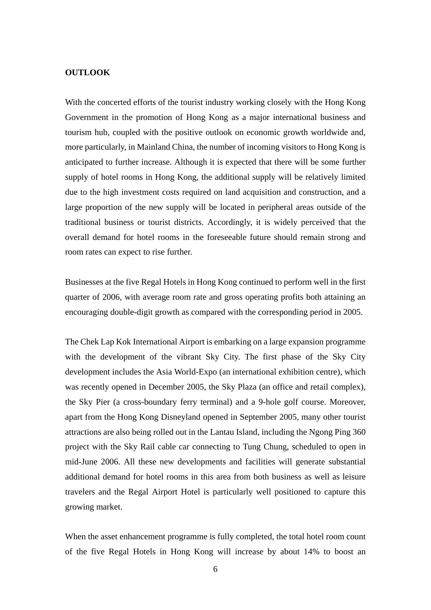#### **OUTLOOK**

With the concerted efforts of the tourist industry working closely with the Hong Kong Government in the promotion of Hong Kong as a major international business and tourism hub, coupled with the positive outlook on economic growth worldwide and, more particularly, in Mainland China, the number of incoming visitors to Hong Kong is anticipated to further increase. Although it is expected that there will be some further supply of hotel rooms in Hong Kong, the additional supply will be relatively limited due to the high investment costs required on land acquisition and construction, and a large proportion of the new supply will be located in peripheral areas outside of the traditional business or tourist districts. Accordingly, it is widely perceived that the overall demand for hotel rooms in the foreseeable future should remain strong and room rates can expect to rise further.

Businesses at the five Regal Hotels in Hong Kong continued to perform well in the first quarter of 2006, with average room rate and gross operating profits both attaining an encouraging double-digit growth as compared with the corresponding period in 2005.

The Chek Lap Kok International Airport is embarking on a large expansion programme with the development of the vibrant Sky City. The first phase of the Sky City development includes the Asia World-Expo (an international exhibition centre), which was recently opened in December 2005, the Sky Plaza (an office and retail complex), the Sky Pier (a cross-boundary ferry terminal) and a 9-hole golf course. Moreover, apart from the Hong Kong Disneyland opened in September 2005, many other tourist attractions are also being rolled out in the Lantau Island, including the Ngong Ping 360 project with the Sky Rail cable car connecting to Tung Chung, scheduled to open in mid-June 2006. All these new developments and facilities will generate substantial additional demand for hotel rooms in this area from both business as well as leisure travelers and the Regal Airport Hotel is particularly well positioned to capture this growing market.

When the asset enhancement programme is fully completed, the total hotel room count of the five Regal Hotels in Hong Kong will increase by about 14% to boost an